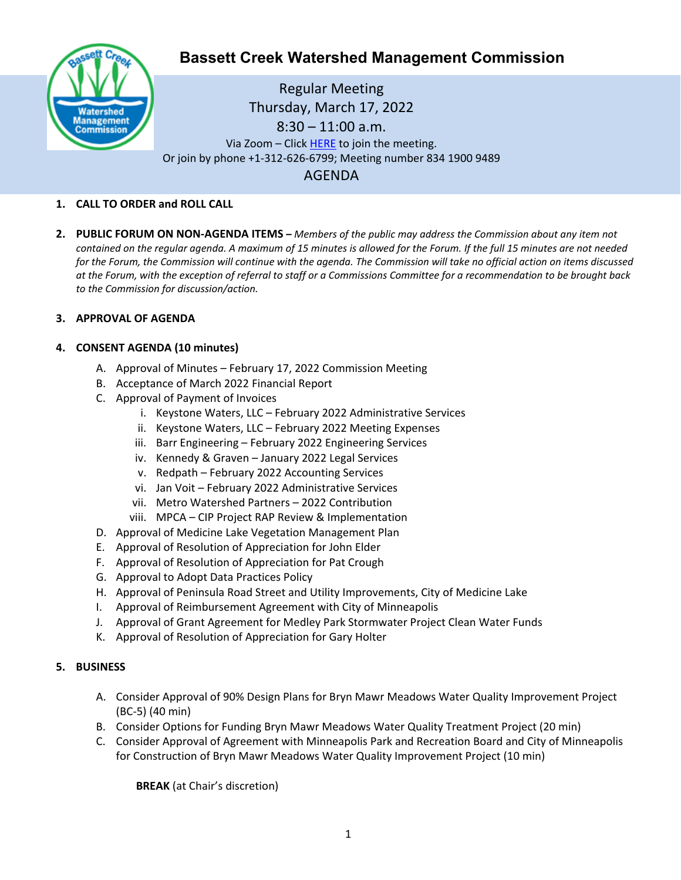

# **Bassett Creek Watershed Management Commission**

Regular Meeting Thursday, March 17, 2022 8:30 – 11:00 a.m. Via Zoom – Clic[k HERE](https://us02web.zoom.us/j/83419009489) to join the meeting. Or join by phone +1-312-626-6799; Meeting number 834 1900 9489 AGENDA

### **1. CALL TO ORDER and ROLL CALL**

**2. PUBLIC FORUM ON NON-AGENDA ITEMS –** *Members of the public may address the Commission about any item not contained on the regular agenda. A maximum of 15 minutes is allowed for the Forum. If the full 15 minutes are not needed for the Forum, the Commission will continue with the agenda. The Commission will take no official action on items discussed at the Forum, with the exception of referral to staff or a Commissions Committee for a recommendation to be brought back to the Commission for discussion/action.*

### **3. APPROVAL OF AGENDA**

## **4. CONSENT AGENDA (10 minutes)**

- A. Approval of Minutes February 17, 2022 Commission Meeting
- B. Acceptance of March 2022 Financial Report
- C. Approval of Payment of Invoices
	- i. Keystone Waters, LLC February 2022 Administrative Services
	- ii. Keystone Waters, LLC February 2022 Meeting Expenses
	- iii. Barr Engineering February 2022 Engineering Services
	- iv. Kennedy & Graven January 2022 Legal Services
	- v. Redpath February 2022 Accounting Services
	- vi. Jan Voit February 2022 Administrative Services
	- vii. Metro Watershed Partners 2022 Contribution
	- viii. MPCA CIP Project RAP Review & Implementation
- D. Approval of Medicine Lake Vegetation Management Plan
- E. Approval of Resolution of Appreciation for John Elder
- F. Approval of Resolution of Appreciation for Pat Crough
- G. Approval to Adopt Data Practices Policy
- H. Approval of Peninsula Road Street and Utility Improvements, City of Medicine Lake
- I. Approval of Reimbursement Agreement with City of Minneapolis
- J. Approval of Grant Agreement for Medley Park Stormwater Project Clean Water Funds
- K. Approval of Resolution of Appreciation for Gary Holter

### **5. BUSINESS**

- A. Consider Approval of 90% Design Plans for Bryn Mawr Meadows Water Quality Improvement Project (BC-5) (40 min)
- B. Consider Options for Funding Bryn Mawr Meadows Water Quality Treatment Project (20 min)
- C. Consider Approval of Agreement with Minneapolis Park and Recreation Board and City of Minneapolis for Construction of Bryn Mawr Meadows Water Quality Improvement Project (10 min)

**BREAK** (at Chair's discretion)